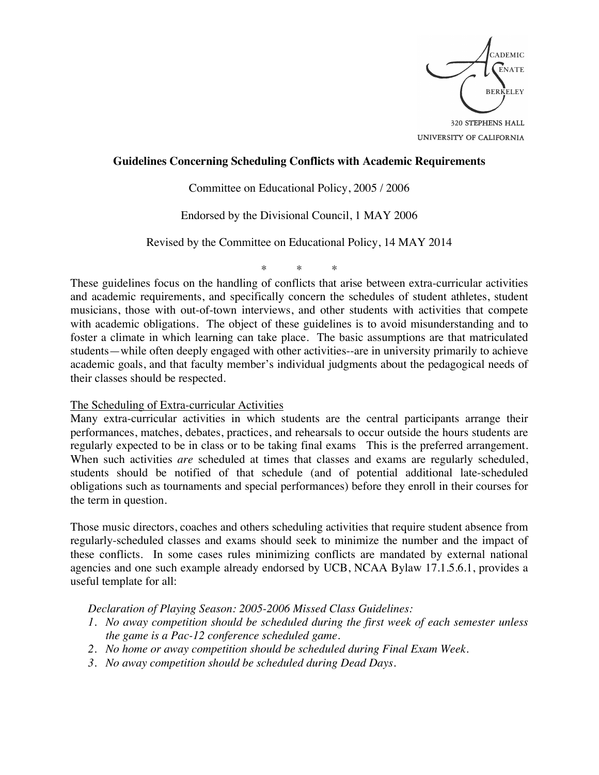

UNIVERSITY OF CALIFORNIA

### **Guidelines Concerning Scheduling Conflicts with Academic Requirements**

Committee on Educational Policy, 2005 / 2006

Endorsed by the Divisional Council, 1 MAY 2006

Revised by the Committee on Educational Policy, 14 MAY 2014

\* \* \*

These guidelines focus on the handling of conflicts that arise between extra-curricular activities and academic requirements, and specifically concern the schedules of student athletes, student musicians, those with out-of-town interviews, and other students with activities that compete with academic obligations. The object of these guidelines is to avoid misunderstanding and to foster a climate in which learning can take place. The basic assumptions are that matriculated students—while often deeply engaged with other activities--are in university primarily to achieve academic goals, and that faculty member's individual judgments about the pedagogical needs of their classes should be respected.

#### The Scheduling of Extra-curricular Activities

Many extra-curricular activities in which students are the central participants arrange their performances, matches, debates, practices, and rehearsals to occur outside the hours students are regularly expected to be in class or to be taking final exams This is the preferred arrangement. When such activities *are* scheduled at times that classes and exams are regularly scheduled, students should be notified of that schedule (and of potential additional late-scheduled obligations such as tournaments and special performances) before they enroll in their courses for the term in question.

Those music directors, coaches and others scheduling activities that require student absence from regularly-scheduled classes and exams should seek to minimize the number and the impact of these conflicts. In some cases rules minimizing conflicts are mandated by external national agencies and one such example already endorsed by UCB, NCAA Bylaw 17.1.5.6.1, provides a useful template for all:

*Declaration of Playing Season: 2005-2006 Missed Class Guidelines:*

- *1. No away competition should be scheduled during the first week of each semester unless the game is a Pac-12 conference scheduled game.*
- *2. No home or away competition should be scheduled during Final Exam Week.*
- *3. No away competition should be scheduled during Dead Days.*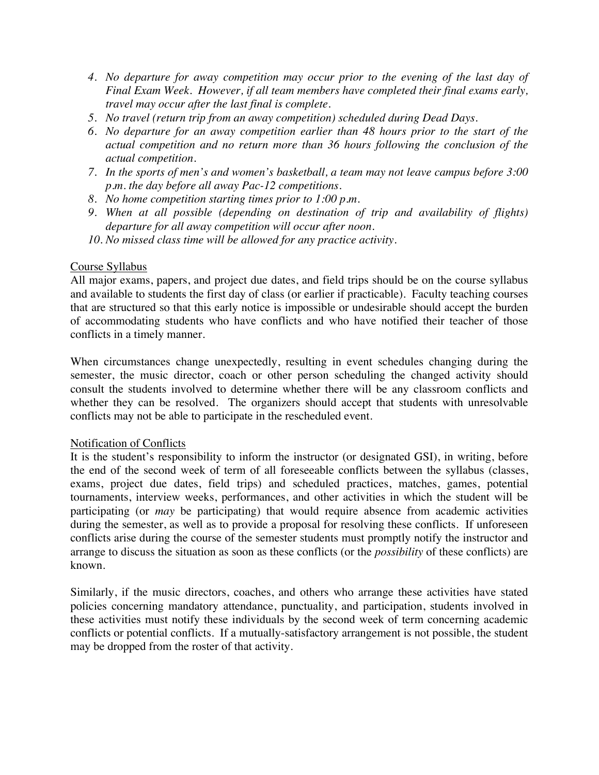- *4. No departure for away competition may occur prior to the evening of the last day of Final Exam Week. However, if all team members have completed their final exams early, travel may occur after the last final is complete.*
- *5. No travel (return trip from an away competition) scheduled during Dead Days.*
- *6. No departure for an away competition earlier than 48 hours prior to the start of the actual competition and no return more than 36 hours following the conclusion of the actual competition.*
- *7. In the sports of men's and women's basketball, a team may not leave campus before 3:00 p.m. the day before all away Pac-12 competitions.*
- *8. No home competition starting times prior to 1:00 p.m.*
- *9. When at all possible (depending on destination of trip and availability of flights) departure for all away competition will occur after noon.*
- *10. No missed class time will be allowed for any practice activity.*

# Course Syllabus

All major exams, papers, and project due dates, and field trips should be on the course syllabus and available to students the first day of class (or earlier if practicable). Faculty teaching courses that are structured so that this early notice is impossible or undesirable should accept the burden of accommodating students who have conflicts and who have notified their teacher of those conflicts in a timely manner.

When circumstances change unexpectedly, resulting in event schedules changing during the semester, the music director, coach or other person scheduling the changed activity should consult the students involved to determine whether there will be any classroom conflicts and whether they can be resolved. The organizers should accept that students with unresolvable conflicts may not be able to participate in the rescheduled event.

## Notification of Conflicts

It is the student's responsibility to inform the instructor (or designated GSI), in writing, before the end of the second week of term of all foreseeable conflicts between the syllabus (classes, exams, project due dates, field trips) and scheduled practices, matches, games, potential tournaments, interview weeks, performances, and other activities in which the student will be participating (or *may* be participating) that would require absence from academic activities during the semester, as well as to provide a proposal for resolving these conflicts. If unforeseen conflicts arise during the course of the semester students must promptly notify the instructor and arrange to discuss the situation as soon as these conflicts (or the *possibility* of these conflicts) are known.

Similarly, if the music directors, coaches, and others who arrange these activities have stated policies concerning mandatory attendance, punctuality, and participation, students involved in these activities must notify these individuals by the second week of term concerning academic conflicts or potential conflicts. If a mutually-satisfactory arrangement is not possible, the student may be dropped from the roster of that activity.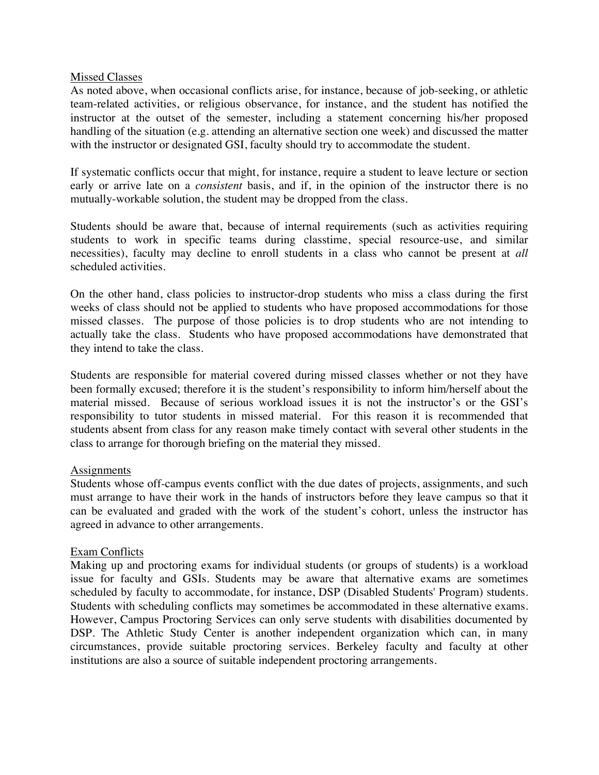### Missed Classes

As noted above, when occasional conflicts arise, for instance, because of job-seeking, or athletic team-related activities, or religious observance, for instance, and the student has notified the instructor at the outset of the semester, including a statement concerning his/her proposed handling of the situation (e.g. attending an alternative section one week) and discussed the matter with the instructor or designated GSI, faculty should try to accommodate the student.

If systematic conflicts occur that might, for instance, require a student to leave lecture or section early or arrive late on a *consistent* basis, and if, in the opinion of the instructor there is no mutually-workable solution, the student may be dropped from the class.

Students should be aware that, because of internal requirements (such as activities requiring students to work in specific teams during classtime, special resource-use, and similar necessities), faculty may decline to enroll students in a class who cannot be present at *all* scheduled activities.

On the other hand, class policies to instructor-drop students who miss a class during the first weeks of class should not be applied to students who have proposed accommodations for those missed classes. The purpose of those policies is to drop students who are not intending to actually take the class. Students who have proposed accommodations have demonstrated that they intend to take the class.

Students are responsible for material covered during missed classes whether or not they have been formally excused; therefore it is the student's responsibility to inform him/herself about the material missed. Because of serious workload issues it is not the instructor's or the GSI's responsibility to tutor students in missed material. For this reason it is recommended that students absent from class for any reason make timely contact with several other students in the class to arrange for thorough briefing on the material they missed.

## **Assignments**

Students whose off-campus events conflict with the due dates of projects, assignments, and such must arrange to have their work in the hands of instructors before they leave campus so that it can be evaluated and graded with the work of the student's cohort, unless the instructor has agreed in advance to other arrangements.

## Exam Conflicts

Making up and proctoring exams for individual students (or groups of students) is a workload issue for faculty and GSIs. Students may be aware that alternative exams are sometimes scheduled by faculty to accommodate, for instance, DSP (Disabled Students' Program) students. Students with scheduling conflicts may sometimes be accommodated in these alternative exams. However, Campus Proctoring Services can only serve students with disabilities documented by DSP. The Athletic Study Center is another independent organization which can, in many circumstances, provide suitable proctoring services. Berkeley faculty and faculty at other institutions are also a source of suitable independent proctoring arrangements.